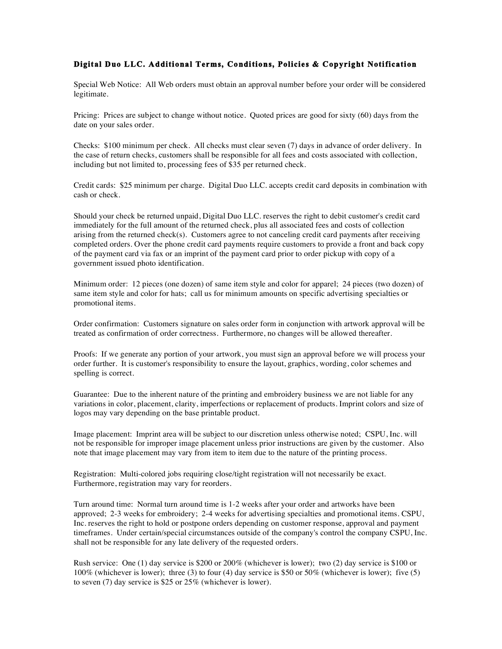## **Digital Duo LLC. Additional Terms, Conditions, Policies & Copyright Notification**

Special Web Notice: All Web orders must obtain an approval number before your order will be considered legitimate.

Pricing: Prices are subject to change without notice. Quoted prices are good for sixty (60) days from the date on your sales order.

Checks: \$100 minimum per check. All checks must clear seven (7) days in advance of order delivery. In the case of return checks, customers shall be responsible for all fees and costs associated with collection, including but not limited to, processing fees of \$35 per returned check.

Credit cards: \$25 minimum per charge. Digital Duo LLC. accepts credit card deposits in combination with cash or check.

Should your check be returned unpaid, Digital Duo LLC. reserves the right to debit customer's credit card immediately for the full amount of the returned check, plus all associated fees and costs of collection arising from the returned check(s). Customers agree to not canceling credit card payments after receiving completed orders. Over the phone credit card payments require customers to provide a front and back copy of the payment card via fax or an imprint of the payment card prior to order pickup with copy of a government issued photo identification.

Minimum order: 12 pieces (one dozen) of same item style and color for apparel; 24 pieces (two dozen) of same item style and color for hats; call us for minimum amounts on specific advertising specialties or promotional items.

Order confirmation: Customers signature on sales order form in conjunction with artwork approval will be treated as confirmation of order correctness. Furthermore, no changes will be allowed thereafter.

Proofs: If we generate any portion of your artwork, you must sign an approval before we will process your order further. It is customer's responsibility to ensure the layout, graphics, wording, color schemes and spelling is correct.

Guarantee: Due to the inherent nature of the printing and embroidery business we are not liable for any variations in color, placement, clarity, imperfections or replacement of products. Imprint colors and size of logos may vary depending on the base printable product.

Image placement: Imprint area will be subject to our discretion unless otherwise noted; CSPU, Inc. will not be responsible for improper image placement unless prior instructions are given by the customer. Also note that image placement may vary from item to item due to the nature of the printing process.

Registration: Multi-colored jobs requiring close/tight registration will not necessarily be exact. Furthermore, registration may vary for reorders.

Turn around time: Normal turn around time is 1-2 weeks after your order and artworks have been approved; 2-3 weeks for embroidery; 2-4 weeks for advertising specialties and promotional items. CSPU, Inc. reserves the right to hold or postpone orders depending on customer response, approval and payment timeframes. Under certain/special circumstances outside of the company's control the company CSPU, Inc. shall not be responsible for any late delivery of the requested orders.

Rush service: One (1) day service is \$200 or 200% (whichever is lower); two (2) day service is \$100 or 100% (whichever is lower); three (3) to four (4) day service is \$50 or 50% (whichever is lower); five (5) to seven (7) day service is \$25 or 25% (whichever is lower).